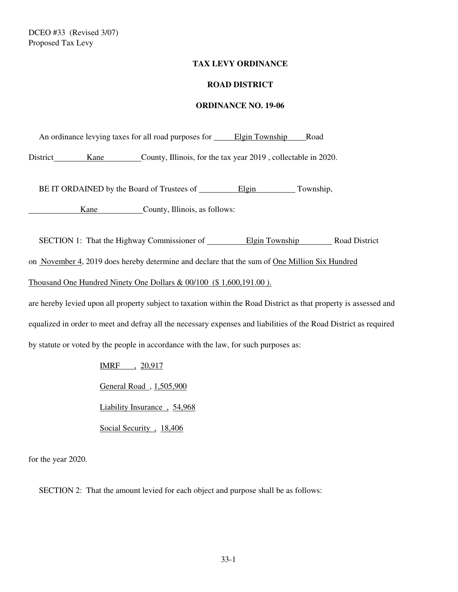# **TAX LEVY ORDINANCE**

### **ROAD DISTRICT**

#### **ORDINANCE NO. 19-06**

An ordinance levying taxes for all road purposes for \_\_\_\_\_ Elgin Township \_\_\_\_\_ Road

District Kane County, Illinois, for the tax year 2019, collectable in 2020.

BE IT ORDAINED by the Board of Trustees of Elgin Township,

Kane County, Illinois, as follows:

SECTION 1: That the Highway Commissioner of Elgin Township Road District

on November 4, 2019 does hereby determine and declare that the sum of One Million Six Hundred

Thousand One Hundred Ninety One Dollars & 00/100 (\$ 1,600,191.00 ).

are hereby levied upon all property subject to taxation within the Road District as that property is assessed and equalized in order to meet and defray all the necessary expenses and liabilities of the Road District as required by statute or voted by the people in accordance with the law, for such purposes as:

> IMRF , 20,917 General Road , 1,505,900 Liability Insurance , 54,968 Social Security, 18,406

for the year 2020.

SECTION 2: That the amount levied for each object and purpose shall be as follows: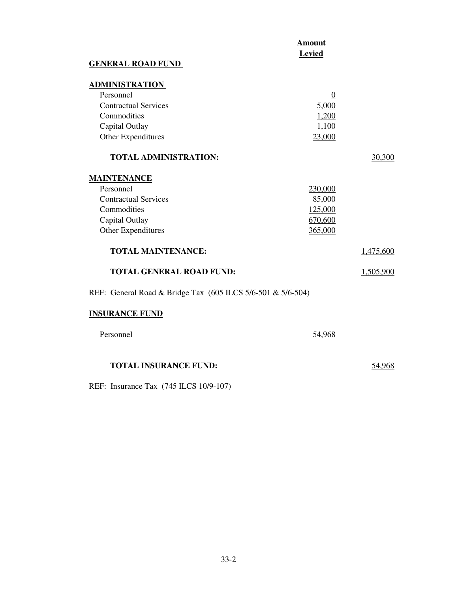|                                                             | <b>Amount</b><br><b>Levied</b> |           |
|-------------------------------------------------------------|--------------------------------|-----------|
| <b>GENERAL ROAD FUND</b>                                    |                                |           |
| <b>ADMINISTRATION</b>                                       |                                |           |
| Personnel                                                   | $\boldsymbol{0}$               |           |
| <b>Contractual Services</b>                                 | 5,000                          |           |
| Commodities                                                 | 1,200                          |           |
| Capital Outlay                                              | 1,100                          |           |
| Other Expenditures                                          | 23,000                         |           |
| <b>TOTAL ADMINISTRATION:</b>                                |                                | 30,300    |
| <b>MAINTENANCE</b>                                          |                                |           |
| Personnel                                                   | 230,000                        |           |
| <b>Contractual Services</b>                                 | 85,000                         |           |
| Commodities                                                 | 125,000                        |           |
| Capital Outlay                                              | 670,600                        |           |
| Other Expenditures                                          | 365,000                        |           |
| <b>TOTAL MAINTENANCE:</b>                                   |                                | 1,475,600 |
| <b>TOTAL GENERAL ROAD FUND:</b>                             |                                | 1,505,900 |
| REF: General Road & Bridge Tax (605 ILCS 5/6-501 & 5/6-504) |                                |           |
| <b>INSURANCE FUND</b>                                       |                                |           |
| Personnel                                                   | 54,968                         |           |
| <b>TOTAL INSURANCE FUND:</b>                                |                                | 54,968    |

REF: Insurance Tax (745 ILCS 10/9-107)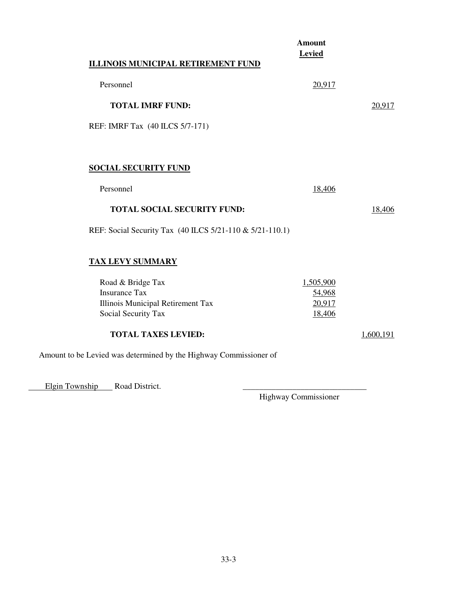|                                                                   | <b>Amount</b><br><b>Levied</b> |           |
|-------------------------------------------------------------------|--------------------------------|-----------|
| ILLINOIS MUNICIPAL RETIREMENT FUND                                |                                |           |
| Personnel                                                         | 20,917                         |           |
| <b>TOTAL IMRF FUND:</b>                                           |                                | 20,917    |
| REF: IMRF Tax (40 ILCS 5/7-171)                                   |                                |           |
|                                                                   |                                |           |
| <b>SOCIAL SECURITY FUND</b>                                       |                                |           |
| Personnel                                                         | 18,406                         |           |
| <b>TOTAL SOCIAL SECURITY FUND:</b>                                |                                | 18,406    |
| REF: Social Security Tax (40 ILCS 5/21-110 & 5/21-110.1)          |                                |           |
| <b>TAX LEVY SUMMARY</b>                                           |                                |           |
| Road & Bridge Tax                                                 | 1,505,900                      |           |
| <b>Insurance Tax</b>                                              | 54,968                         |           |
| Illinois Municipal Retirement Tax                                 | 20,917                         |           |
| Social Security Tax                                               | 18,406                         |           |
| <b>TOTAL TAXES LEVIED:</b>                                        |                                | 1,600,191 |
| Amount to be Levied was determined by the Highway Commissioner of |                                |           |

Elgin Township Road District.

Highway Commissioner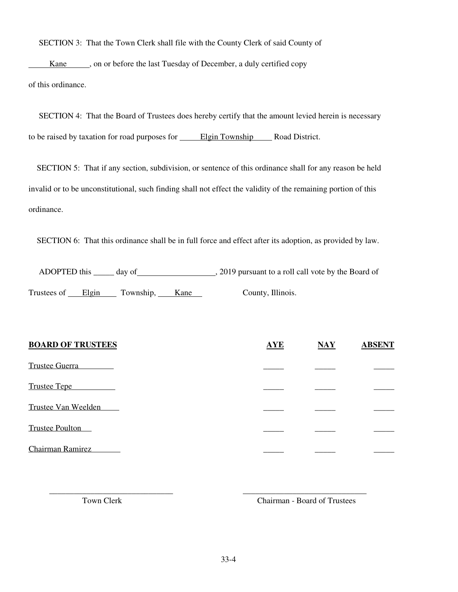SECTION 3: That the Town Clerk shall file with the County Clerk of said County of

Kane strategies on or before the last Tuesday of December, a duly certified copy of this ordinance.

 SECTION 4: That the Board of Trustees does hereby certify that the amount levied herein is necessary to be raised by taxation for road purposes for **Elgin Township** Road District.

 SECTION 5: That if any section, subdivision, or sentence of this ordinance shall for any reason be held invalid or to be unconstitutional, such finding shall not effect the validity of the remaining portion of this ordinance.

SECTION 6: That this ordinance shall be in full force and effect after its adoption, as provided by law.

ADOPTED this \_\_\_\_\_ day of , 2019 pursuant to a roll call vote by the Board of

Trustees of Elgin Township, Kane County, Illinois.

| <b>BOARD OF TRUSTEES</b> | <b>AYE</b> | $\overline{\text{MAX}}$ | <b>ABSENT</b> |
|--------------------------|------------|-------------------------|---------------|
| <b>Trustee Guerra</b>    |            |                         |               |
| <b>Trustee Tepe</b>      |            |                         |               |
| Trustee Van Weelden      |            |                         |               |
| <b>Trustee Poulton</b>   |            |                         |               |
| <b>Chairman Ramirez</b>  |            |                         |               |

 $\overline{\phantom{a}}$  , and the contract of the contract of the contract of the contract of the contract of the contract of the contract of the contract of the contract of the contract of the contract of the contract of the contrac

Town Clerk Chairman - Board of Trustees